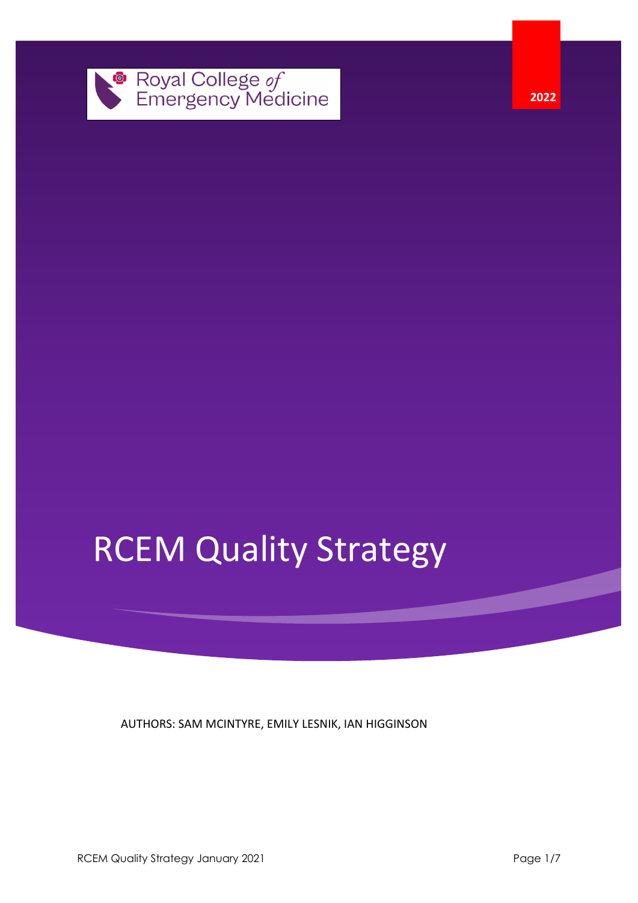

**2022**

# RCEM Quality Strategy

AUTHORS: SAM MCINTYRE, EMILY LESNIK, IAN HIGGINSON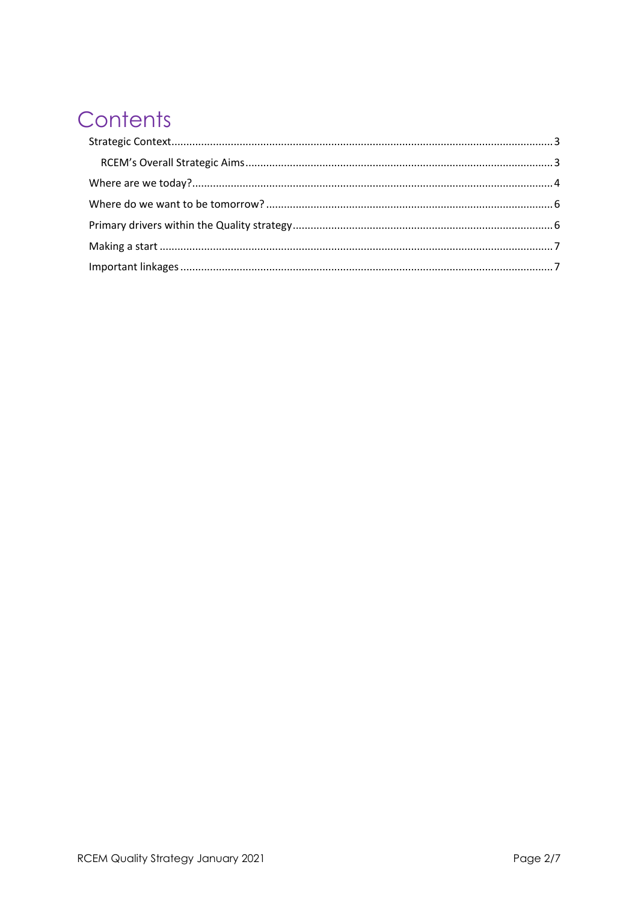# Contents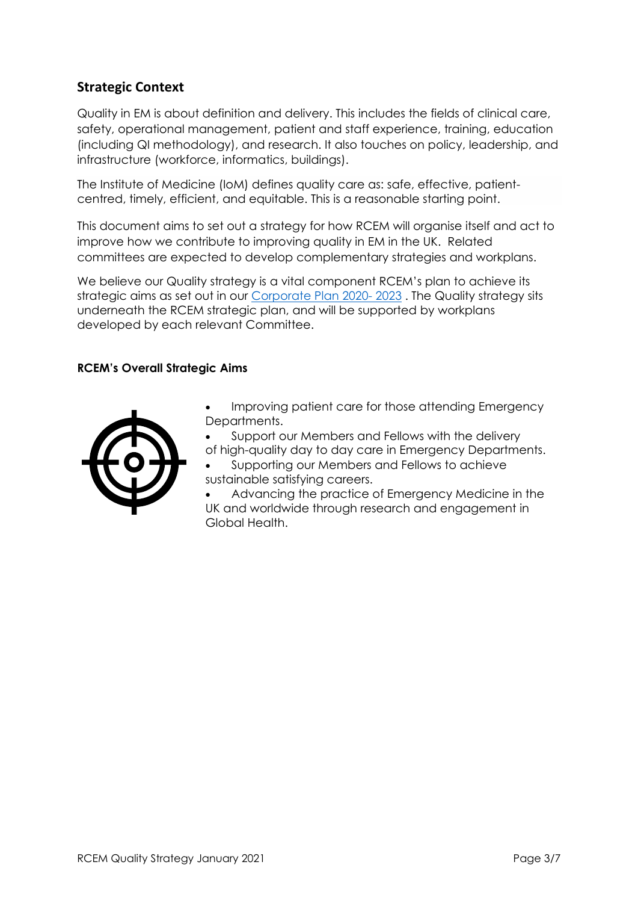# <span id="page-2-0"></span>**Strategic Context**

Quality in EM is about definition and delivery. This includes the fields of clinical care, safety, operational management, patient and staff experience, training, education (including QI methodology), and research. It also touches on policy, leadership, and infrastructure (workforce, informatics, buildings).

The Institute of Medicine (IoM) defines quality care as: safe, effective, patientcentred, timely, efficient, and equitable. This is a reasonable starting point.

This document aims to set out a strategy for how RCEM will organise itself and act to improve how we contribute to improving quality in EM in the UK. Related committees are expected to develop complementary strategies and workplans.

We believe our Quality strategy is a vital component RCEM's plan to achieve its strategic aims as set out in our [Corporate Plan 2020-](https://www.rcem.ac.uk/docs/About/RCEM_Corporate_Plan_2021-2023.pdf) 2023 . The Quality strategy sits underneath the RCEM strategic plan, and will be supported by workplans developed by each relevant Committee.

#### <span id="page-2-1"></span>**RCEM's Overall Strategic Aims**



- Improving patient care for those attending Emergency Departments.
- Support our Members and Fellows with the delivery
- of high-quality day to day care in Emergency Departments.
- Supporting our Members and Fellows to achieve sustainable satisfying careers.

• Advancing the practice of Emergency Medicine in the UK and worldwide through research and engagement in Global Health.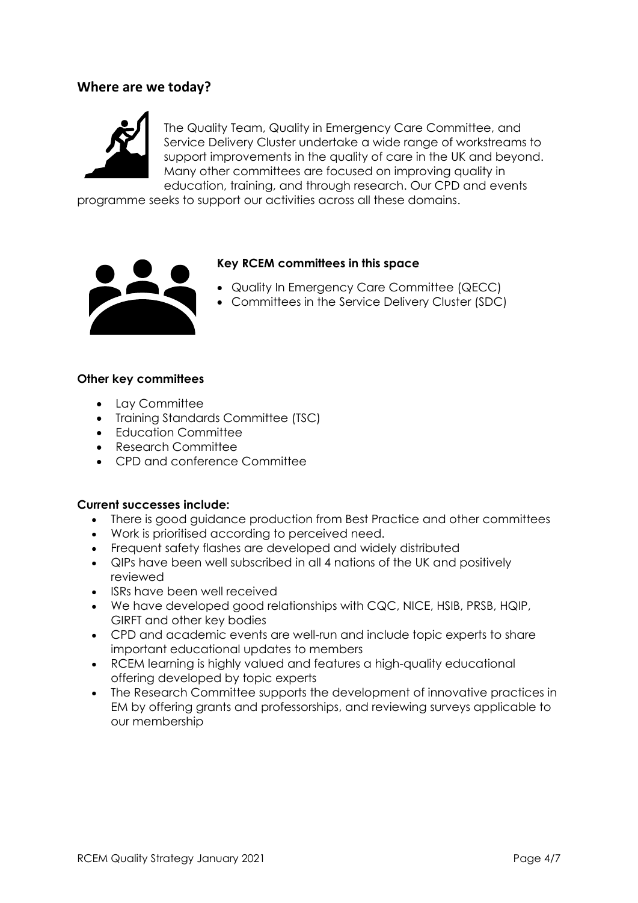## <span id="page-3-0"></span>**Where are we today?**



The Quality Team, Quality in Emergency Care Committee, and Service Delivery Cluster undertake a wide range of workstreams to support improvements in the quality of care in the UK and beyond. Many other committees are focused on improving quality in education, training, and through research. Our CPD and events

programme seeks to support our activities across all these domains.



#### **Key RCEM committees in this space**

- Quality In Emergency Care Committee (QECC)
- Committees in the Service Delivery Cluster (SDC)

#### **Other key committees**

- Lay Committee
- Training Standards Committee (TSC)
- Education Committee
- Research Committee
- CPD and conference Committee

#### **Current successes include:**

- There is good guidance production from Best Practice and other committees
- Work is prioritised according to perceived need.
- Frequent safety flashes are developed and widely distributed
- QIPs have been well subscribed in all 4 nations of the UK and positively reviewed
- ISRs have been well received
- We have developed good relationships with CQC, NICE, HSIB, PRSB, HQIP, GIRFT and other key bodies
- CPD and academic events are well-run and include topic experts to share important educational updates to members
- RCEM learning is highly valued and features a high-quality educational offering developed by topic experts
- The Research Committee supports the development of innovative practices in EM by offering grants and professorships, and reviewing surveys applicable to our membership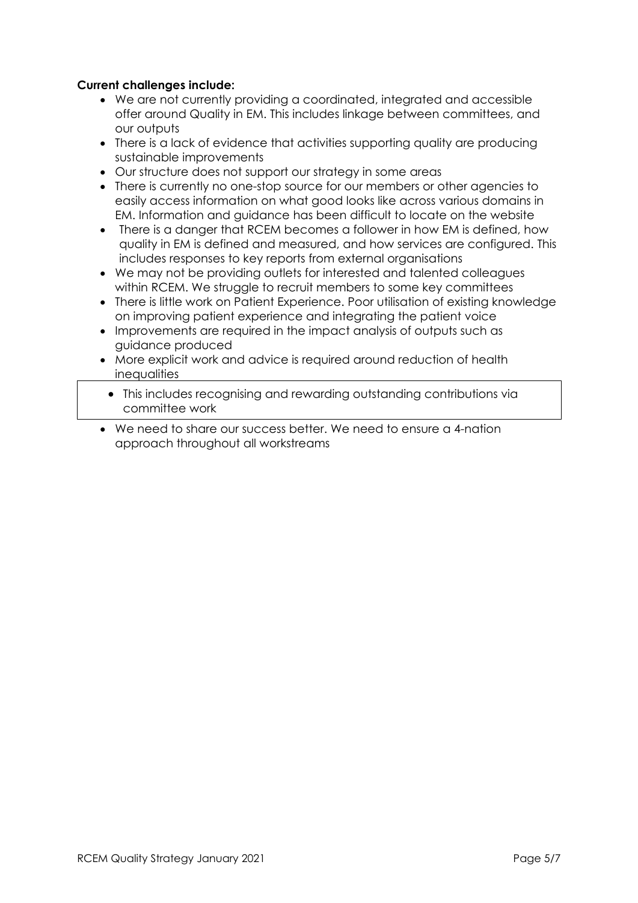#### **Current challenges include:**

- We are not currently providing a coordinated, integrated and accessible offer around Quality in EM. This includes linkage between committees, and our outputs
- There is a lack of evidence that activities supporting quality are producing sustainable improvements
- Our structure does not support our strategy in some areas
- There is currently no one-stop source for our members or other agencies to easily access information on what good looks like across various domains in EM. Information and guidance has been difficult to locate on the website
- There is a danger that RCEM becomes a follower in how EM is defined, how quality in EM is defined and measured, and how services are configured. This includes responses to key reports from external organisations
- We may not be providing outlets for interested and talented colleagues within RCEM. We struggle to recruit members to some key committees
- There is little work on Patient Experience. Poor utilisation of existing knowledge on improving patient experience and integrating the patient voice
- Improvements are required in the impact analysis of outputs such as guidance produced
- More explicit work and advice is required around reduction of health inequalities
- This includes recognising and rewarding outstanding contributions via committee work
- We need to share our success better. We need to ensure a 4-nation approach throughout all workstreams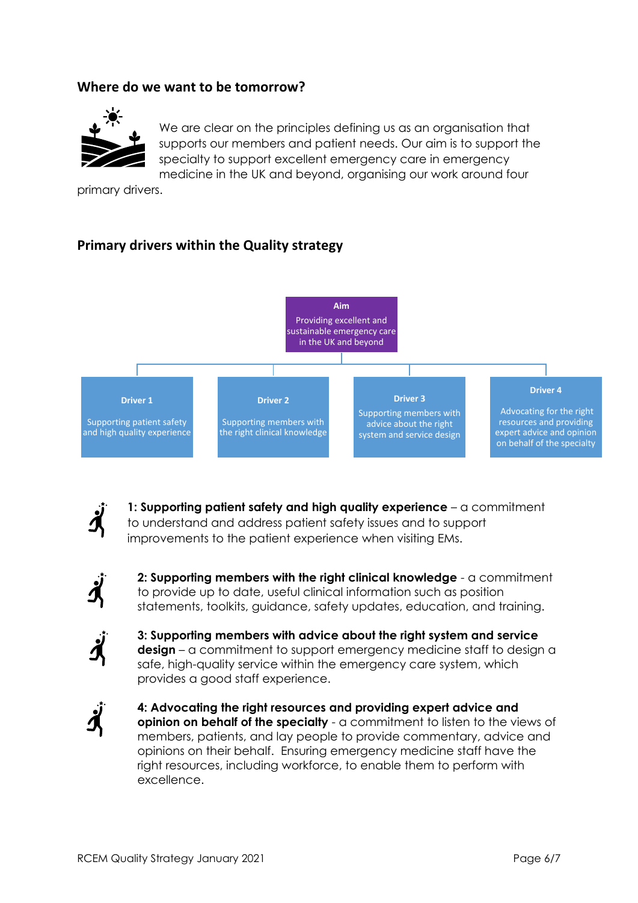## <span id="page-5-0"></span>**Where do we want to be tomorrow?**



We are clear on the principles defining us as an organisation that supports our members and patient needs. Our aim is to support the specialty to support excellent emergency care in emergency medicine in the UK and beyond, organising our work around four

primary drivers.

# <span id="page-5-1"></span>**Primary drivers within the Quality strategy**





**1: Supporting patient safety and high quality experience** – a commitment to understand and address patient safety issues and to support improvements to the patient experience when visiting EMs.



**2: Supporting members with the right clinical knowledge** - a commitment to provide up to date, useful clinical information such as position statements, toolkits, guidance, safety updates, education, and training.



**3: Supporting members with advice about the right system and service design** – a commitment to support emergency medicine staff to design a safe, high-quality service within the emergency care system, which provides a good staff experience.



**4: Advocating the right resources and providing expert advice and opinion on behalf of the specialty** - a commitment to listen to the views of members, patients, and lay people to provide commentary, advice and opinions on their behalf. Ensuring emergency medicine staff have the right resources, including workforce, to enable them to perform with excellence.